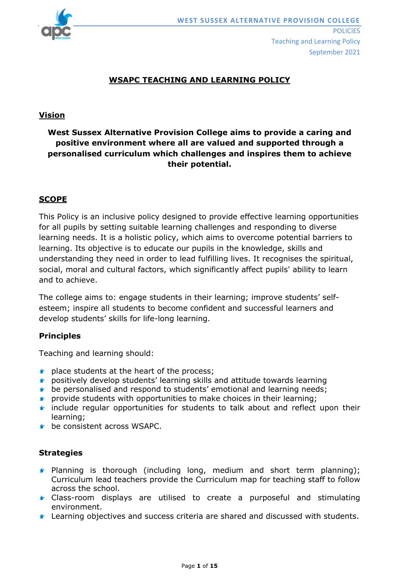

## **WSAPC TEACHING AND LEARNING POLICY**

#### **Vision**

# **West Sussex Alternative Provision College aims to provide a caring and positive environment where all are valued and supported through a personalised curriculum which challenges and inspires them to achieve their potential.**

## **SCOPE**

This Policy is an inclusive policy designed to provide effective learning opportunities for all pupils by setting suitable learning challenges and responding to diverse learning needs. It is a holistic policy, which aims to overcome potential barriers to learning. Its objective is to educate our pupils in the knowledge, skills and understanding they need in order to lead fulfilling lives. It recognises the spiritual, social, moral and cultural factors, which significantly affect pupils' ability to learn and to achieve.

The college aims to: engage students in their learning; improve students' selfesteem; inspire all students to become confident and successful learners and develop students' skills for life-long learning.

#### **Principles**

Teaching and learning should:

- $\bullet$  place students at the heart of the process;
- **E** positively develop students' learning skills and attitude towards learning
- **b** be personalised and respond to students' emotional and learning needs;
- **F** provide students with opportunities to make choices in their learning;
- **F** include regular opportunities for students to talk about and reflect upon their learning;
- **C** be consistent across WSAPC.

#### **Strategies**

- **Planning is thorough (including long, medium and short term planning);** Curriculum lead teachers provide the Curriculum map for teaching staff to follow across the school.
- Class-room displays are utilised to create a purposeful and stimulating environment.
- Learning objectives and success criteria are shared and discussed with students.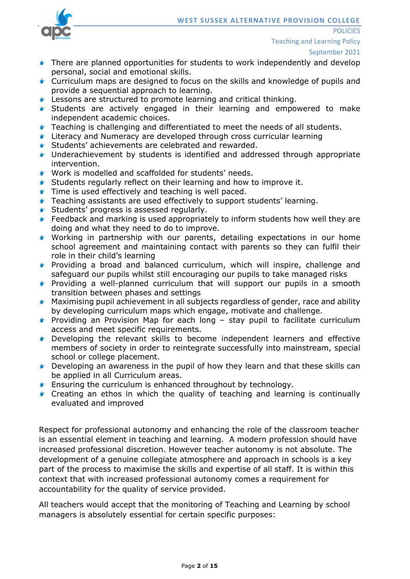

Teaching and Learning Policy

**POLICIES** 

- **There are planned opportunities for students to work independently and develop** personal, social and emotional skills.
- Curriculum maps are designed to focus on the skills and knowledge of pupils and provide a sequential approach to learning.
- **Lessons are structured to promote learning and critical thinking.**
- **Students are actively engaged in their learning and empowered to make** independent academic choices.
- **Teaching is challenging and differentiated to meet the needs of all students.**
- **Literacy and Numeracy are developed through cross curricular learning**
- **Students' achievements are celebrated and rewarded.**
- Underachievement by students is identified and addressed through appropriate intervention.
- Work is modelled and scaffolded for students' needs.
- **Students regularly reflect on their learning and how to improve it.**
- **Time is used effectively and teaching is well paced.**
- **Teaching assistants are used effectively to support students' learning.**
- **Students' progress is assessed regularly.**
- Feedback and marking is used appropriately to inform students how well they are doing and what they need to do to improve.
- Working in partnership with our parents, detailing expectations in our home school agreement and maintaining contact with parents so they can fulfil their role in their child's learning
- **F** Providing a broad and balanced curriculum, which will inspire, challenge and safeguard our pupils whilst still encouraging our pupils to take managed risks
- **F** Providing a well-planned curriculum that will support our pupils in a smooth transition between phases and settings
- **Maximising pupil achievement in all subjects regardless of gender, race and ability** by developing curriculum maps which engage, motivate and challenge.
- **F** Providing an Provision Map for each long stay pupil to facilitate curriculum access and meet specific requirements.
- Developing the relevant skills to become independent learners and effective members of society in order to reintegrate successfully into mainstream, special school or college placement.
- **C** Developing an awareness in the pupil of how they learn and that these skills can be applied in all Curriculum areas.
- **Ensuring the curriculum is enhanced throughout by technology.**
- **Creating an ethos in which the quality of teaching and learning is continually** evaluated and improved

Respect for professional autonomy and enhancing the role of the classroom teacher is an essential element in teaching and learning. A modern profession should have increased professional discretion. However teacher autonomy is not absolute. The development of a genuine collegiate atmosphere and approach in schools is a key part of the process to maximise the skills and expertise of all staff. It is within this context that with increased professional autonomy comes a requirement for accountability for the quality of service provided.

All teachers would accept that the monitoring of Teaching and Learning by school managers is absolutely essential for certain specific purposes: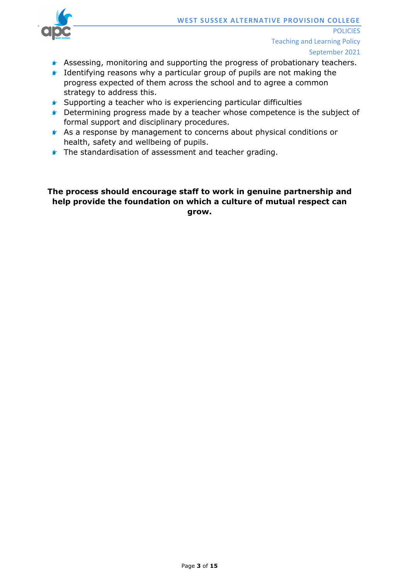- September 2021
- **Assessing, monitoring and supporting the progress of probationary teachers.**
- **If Identifying reasons why a particular group of pupils are not making the** progress expected of them across the school and to agree a common strategy to address this.
- Supporting a teacher who is experiencing particular difficulties
- **Conserverse** by a teacher whose competence is the subject of formal support and disciplinary procedures.
- As a response by management to concerns about physical conditions or health, safety and wellbeing of pupils.
- **The standardisation of assessment and teacher grading.**

## **The process should encourage staff to work in genuine partnership and help provide the foundation on which a culture of mutual respect can grow.**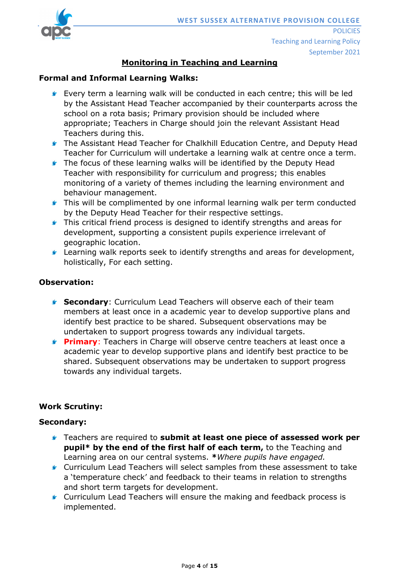

# **Monitoring in Teaching and Learning**

#### **Formal and Informal Learning Walks:**

- **Every term a learning walk will be conducted in each centre; this will be led** by the Assistant Head Teacher accompanied by their counterparts across the school on a rota basis; Primary provision should be included where appropriate; Teachers in Charge should join the relevant Assistant Head Teachers during this.
- **f** The Assistant Head Teacher for Chalkhill Education Centre, and Deputy Head Teacher for Curriculum will undertake a learning walk at centre once a term.
- **The focus of these learning walks will be identified by the Deputy Head** Teacher with responsibility for curriculum and progress; this enables monitoring of a variety of themes including the learning environment and behaviour management.
- **This will be complimented by one informal learning walk per term conducted** by the Deputy Head Teacher for their respective settings.
- **This critical friend process is designed to identify strengths and areas for** development, supporting a consistent pupils experience irrelevant of geographic location.
- **Learning walk reports seek to identify strengths and areas for development,** holistically, For each setting.

#### **Observation:**

- **Secondary:** Curriculum Lead Teachers will observe each of their team members at least once in a academic year to develop supportive plans and identify best practice to be shared. Subsequent observations may be undertaken to support progress towards any individual targets.
- **Primary:** Teachers in Charge will observe centre teachers at least once a academic year to develop supportive plans and identify best practice to be shared. Subsequent observations may be undertaken to support progress towards any individual targets.

## **Work Scrutiny:**

#### **Secondary:**

- Teachers are required to **submit at least one piece of assessed work per pupil\* by the end of the first half of each term,** to the Teaching and Learning area on our central systems. **\****Where pupils have engaged.*
- Curriculum Lead Teachers will select samples from these assessment to take a 'temperature check' and feedback to their teams in relation to strengths and short term targets for development.
- **Curriculum Lead Teachers will ensure the making and feedback process is** implemented.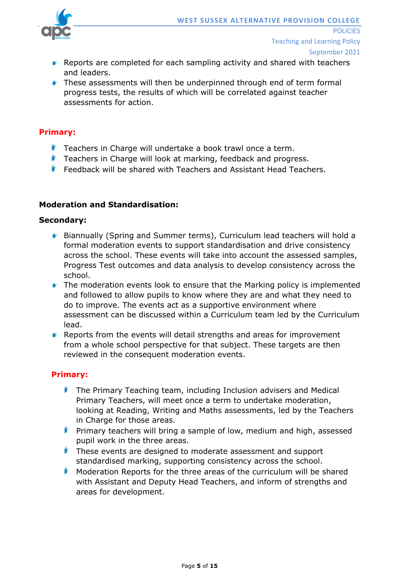

- **F** Reports are completed for each sampling activity and shared with teachers and leaders.
- **F** These assessments will then be underpinned through end of term formal progress tests, the results of which will be correlated against teacher assessments for action.

#### **Primary:**

- **T** Teachers in Charge will undertake a book trawl once a term.
- **T** Teachers in Charge will look at marking, feedback and progress.
- **F** Feedback will be shared with Teachers and Assistant Head Teachers.

#### **Moderation and Standardisation:**

#### **Secondary:**

- Biannually (Spring and Summer terms), Curriculum lead teachers will hold a formal moderation events to support standardisation and drive consistency across the school. These events will take into account the assessed samples, Progress Test outcomes and data analysis to develop consistency across the school.
- **F** The moderation events look to ensure that the Marking policy is implemented and followed to allow pupils to know where they are and what they need to do to improve. The events act as a supportive environment where assessment can be discussed within a Curriculum team led by the Curriculum lead.
- **F** Reports from the events will detail strengths and areas for improvement from a whole school perspective for that subject. These targets are then reviewed in the consequent moderation events.

## **Primary:**

- $\blacklozenge$  The Primary Teaching team, including Inclusion advisers and Medical Primary Teachers, will meet once a term to undertake moderation, looking at Reading, Writing and Maths assessments, led by the Teachers in Charge for those areas.
- **Primary teachers will bring a sample of low, medium and high, assessed** pupil work in the three areas.
- **These events are designed to moderate assessment and support** standardised marking, supporting consistency across the school.
- $\blacklozenge$  Moderation Reports for the three areas of the curriculum will be shared with Assistant and Deputy Head Teachers, and inform of strengths and areas for development.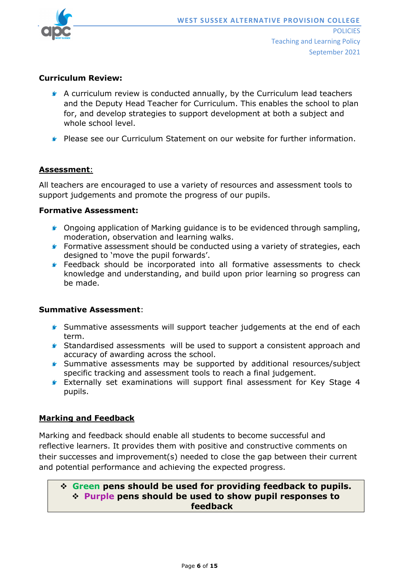

#### **Curriculum Review:**

- A curriculum review is conducted annually, by the Curriculum lead teachers and the Deputy Head Teacher for Curriculum. This enables the school to plan for, and develop strategies to support development at both a subject and whole school level.
- Please see our Curriculum Statement on our website for further information.

#### **Assessment**:

All teachers are encouraged to use a variety of resources and assessment tools to support judgements and promote the progress of our pupils.

#### **Formative Assessment:**

- **Congoing application of Marking guidance is to be evidenced through sampling,** moderation, observation and learning walks.
- **F** Formative assessment should be conducted using a variety of strategies, each designed to 'move the pupil forwards'.
- **Feedback should be incorporated into all formative assessments to check** knowledge and understanding, and build upon prior learning so progress can be made.

#### **Summative Assessment**:

- Summative assessments will support teacher judgements at the end of each term.
- Standardised assessments will be used to support a consistent approach and accuracy of awarding across the school.
- **Summative assessments may be supported by additional resources/subject** specific tracking and assessment tools to reach a final judgement.
- Externally set examinations will support final assessment for Key Stage 4 pupils.

## **Marking and Feedback**

Marking and feedback should enable all students to become successful and reflective learners. It provides them with positive and constructive comments on their successes and improvement(s) needed to close the gap between their current and potential performance and achieving the expected progress.

## **Green pens should be used for providing feedback to pupils. Purple pens should be used to show pupil responses to feedback**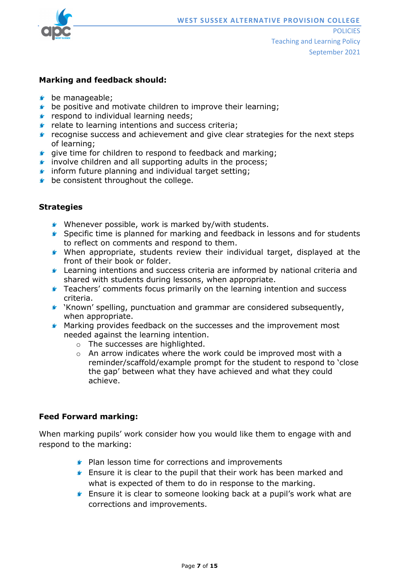

#### **Marking and feedback should:**

- **be manageable;**
- $\bullet$  be positive and motivate children to improve their learning;
- $\triangleright$  respond to individual learning needs;
- $\blacktriangleright$  relate to learning intentions and success criteria;
- $\blacktriangleright$  recognise success and achievement and give clear strategies for the next steps of learning;
- **G** give time for children to respond to feedback and marking;
- **f** involve children and all supporting adults in the process;
- **f** inform future planning and individual target setting:
- **b** be consistent throughout the college.

#### **Strategies**

- Whenever possible, work is marked by/with students.
- Specific time is planned for marking and feedback in lessons and for students to reflect on comments and respond to them.
- When appropriate, students review their individual target, displayed at the front of their book or folder.
- Learning intentions and success criteria are informed by national criteria and shared with students during lessons, when appropriate.
- **F** Teachers' comments focus primarily on the learning intention and success criteria.
- 'Known' spelling, punctuation and grammar are considered subsequently, when appropriate.
- **K** Marking provides feedback on the successes and the improvement most needed against the learning intention.
	- o The successes are highlighted.
	- $\circ$  An arrow indicates where the work could be improved most with a reminder/scaffold/example prompt for the student to respond to 'close the gap' between what they have achieved and what they could achieve.

## **Feed Forward marking:**

When marking pupils' work consider how you would like them to engage with and respond to the marking:

- **Plan lesson time for corrections and improvements**
- **E** Ensure it is clear to the pupil that their work has been marked and what is expected of them to do in response to the marking.
- **Ensure it is clear to someone looking back at a pupil's work what are** corrections and improvements.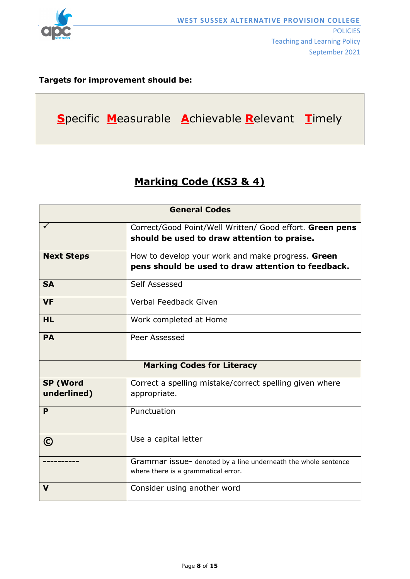

## **Targets for improvement should be:**



# **Marking Code (KS3 & 4)**

| <b>General Codes</b>              |                                                                                                         |  |
|-----------------------------------|---------------------------------------------------------------------------------------------------------|--|
|                                   | Correct/Good Point/Well Written/ Good effort. Green pens<br>should be used to draw attention to praise. |  |
| <b>Next Steps</b>                 | How to develop your work and make progress. Green<br>pens should be used to draw attention to feedback. |  |
| <b>SA</b>                         | Self Assessed                                                                                           |  |
| <b>VF</b>                         | Verbal Feedback Given                                                                                   |  |
| <b>HL</b>                         | Work completed at Home                                                                                  |  |
| <b>PA</b>                         | Peer Assessed                                                                                           |  |
| <b>Marking Codes for Literacy</b> |                                                                                                         |  |
| <b>SP (Word</b><br>underlined)    | Correct a spelling mistake/correct spelling given where<br>appropriate.                                 |  |
| P                                 | Punctuation                                                                                             |  |
| $\odot$                           | Use a capital letter                                                                                    |  |
|                                   | Grammar issue- denoted by a line underneath the whole sentence<br>where there is a grammatical error.   |  |
| V                                 | Consider using another word                                                                             |  |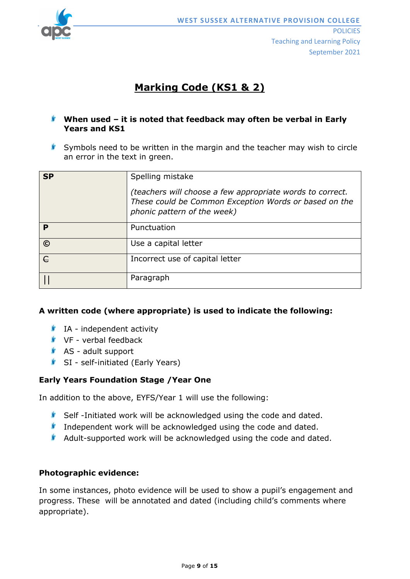

# **Marking Code (KS1 & 2)**

## **When used – it is noted that feedback may often be verbal in Early Years and KS1**

Symbols need to be written in the margin and the teacher may wish to circle an error in the text in green.

| <b>SP</b>  | Spelling mistake<br>(teachers will choose a few appropriate words to correct.<br>These could be Common Exception Words or based on the<br>phonic pattern of the week) |
|------------|-----------------------------------------------------------------------------------------------------------------------------------------------------------------------|
| P          | Punctuation                                                                                                                                                           |
| $\odot$    | Use a capital letter                                                                                                                                                  |
| $\epsilon$ | Incorrect use of capital letter                                                                                                                                       |
|            | Paragraph                                                                                                                                                             |

## **A written code (where appropriate) is used to indicate the following:**

- $I$  IA independent activity
- $V$ F verbal feedback
- $\triangle$  AS adult support
- SI self-initiated (Early Years)

## **Early Years Foundation Stage /Year One**

In addition to the above, EYFS/Year 1 will use the following:

- Self-Initiated work will be acknowledged using the code and dated.
- **Independent work will be acknowledged using the code and dated.**
- $\blacklozenge$  Adult-supported work will be acknowledged using the code and dated.

## **Photographic evidence:**

In some instances, photo evidence will be used to show a pupil's engagement and progress. These will be annotated and dated (including child's comments where appropriate).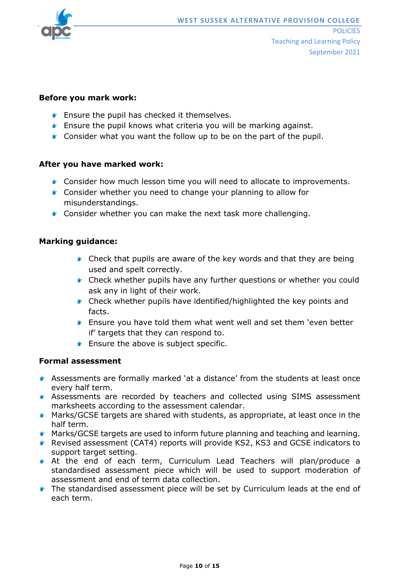

#### **Before you mark work:**

- **F** Ensure the pupil has checked it themselves.
- **Ensure the pupil knows what criteria you will be marking against.**
- **Consider what you want the follow up to be on the part of the pupil.**

## **After you have marked work:**

- **Consider how much lesson time you will need to allocate to improvements.**
- **Consider whether you need to change your planning to allow for** misunderstandings.
- **Consider whether you can make the next task more challenging.**

#### **Marking guidance:**

- **Check that pupils are aware of the key words and that they are being** used and spelt correctly.
- **Check whether pupils have any further questions or whether you could** ask any in light of their work.
- **Check whether pupils have identified/highlighted the key points and** facts.
- Ensure you have told them what went well and set them 'even better if' targets that they can respond to.
- **F** Ensure the above is subject specific.

#### **Formal assessment**

- Assessments are formally marked 'at a distance' from the students at least once every half term.
- Assessments are recorded by teachers and collected using SIMS assessment marksheets according to the assessment calendar.
- **Marks/GCSE targets are shared with students, as appropriate, at least once in the** half term.
- **Marks/GCSE targets are used to inform future planning and teaching and learning.**
- Revised assessment (CAT4) reports will provide KS2, KS3 and GCSE indicators to support target setting.
- At the end of each term, Curriculum Lead Teachers will plan/produce a standardised assessment piece which will be used to support moderation of assessment and end of term data collection.
- **The standardised assessment piece will be set by Curriculum leads at the end of** each term.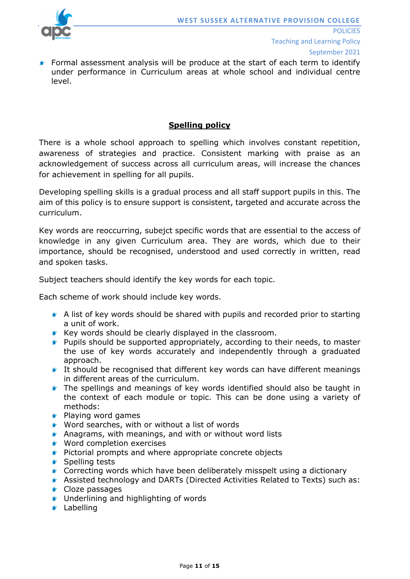

Formal assessment analysis will be produce at the start of each term to identify under performance in Curriculum areas at whole school and individual centre level.

## **Spelling policy**

There is a whole school approach to spelling which involves constant repetition, awareness of strategies and practice. Consistent marking with praise as an acknowledgement of success across all curriculum areas, will increase the chances for achievement in spelling for all pupils.

Developing spelling skills is a gradual process and all staff support pupils in this. The aim of this policy is to ensure support is consistent, targeted and accurate across the curriculum.

Key words are reoccurring, subejct specific words that are essential to the access of knowledge in any given Curriculum area. They are words, which due to their importance, should be recognised, understood and used correctly in written, read and spoken tasks.

Subject teachers should identify the key words for each topic.

Each scheme of work should include key words.

- A list of key words should be shared with pupils and recorded prior to starting a unit of work.
- $\blacktriangleright$  Key words should be clearly displayed in the classroom.
- **F** Pupils should be supported appropriately, according to their needs, to master the use of key words accurately and independently through a graduated approach.
- It should be recognised that different key words can have different meanings in different areas of the curriculum.
- **The spellings and meanings of key words identified should also be taught in** the context of each module or topic. This can be done using a variety of methods:
- **F** Playing word games
- Word searches, with or without a list of words
- **Anagrams, with meanings, and with or without word lists**
- **Word completion exercises**
- **F** Pictorial prompts and where appropriate concrete objects
- **Spelling tests**
- Correcting words which have been deliberately misspelt using a dictionary
- Assisted technology and DARTs (Directed Activities Related to Texts) such as: **G** Cloze passages
- **G** Underlining and highlighting of words
- **Labelling**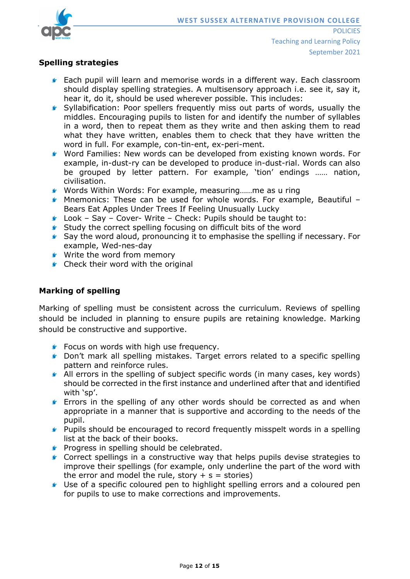

## **Spelling strategies**

- **Each pupil will learn and memorise words in a different way. Each classroom** should display spelling strategies. A multisensory approach i.e. see it, say it, hear it, do it, should be used wherever possible. This includes:
- Syllabification: Poor spellers frequently miss out parts of words, usually the middles. Encouraging pupils to listen for and identify the number of syllables in a word, then to repeat them as they write and then asking them to read what they have written, enables them to check that they have written the word in full. For example, con-tin-ent, ex-peri-ment.
- Word Families: New words can be developed from existing known words. For example, in-dust-ry can be developed to produce in-dust-rial. Words can also be grouped by letter pattern. For example, 'tion' endings …… nation, civilisation.
- Words Within Words: For example, measuring……me as u ring
- **K** Mnemonics: These can be used for whole words. For example, Beautiful  $-$ Bears Eat Apples Under Trees If Feeling Unusually Lucky
- Look Say Cover- Write Check: Pupils should be taught to:
- **Study the correct spelling focusing on difficult bits of the word**
- Say the word aloud, pronouncing it to emphasise the spelling if necessary. For example, Wed-nes-day
- **Write the word from memory**
- **Check their word with the original**

## **Marking of spelling**

Marking of spelling must be consistent across the curriculum. Reviews of spelling should be included in planning to ensure pupils are retaining knowledge. Marking should be constructive and supportive.

- **Focus on words with high use frequency.**
- **C** Don't mark all spelling mistakes. Target errors related to a specific spelling pattern and reinforce rules.
- All errors in the spelling of subject specific words (in many cases, key words) should be corrected in the first instance and underlined after that and identified with 'sp'.
- **F** Errors in the spelling of any other words should be corrected as and when appropriate in a manner that is supportive and according to the needs of the pupil.
- **F** Pupils should be encouraged to record frequently misspelt words in a spelling list at the back of their books.
- **Progress in spelling should be celebrated.**
- Correct spellings in a constructive way that helps pupils devise strategies to improve their spellings (for example, only underline the part of the word with the error and model the rule, story  $+ s =$  stories)
- Use of a specific coloured pen to highlight spelling errors and a coloured pen for pupils to use to make corrections and improvements.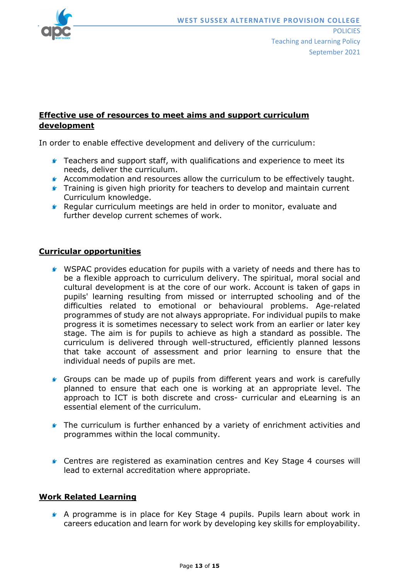

## **Effective use of resources to meet aims and support curriculum development**

In order to enable effective development and delivery of the curriculum:

- **F** Teachers and support staff, with qualifications and experience to meet its needs, deliver the curriculum.
- Accommodation and resources allow the curriculum to be effectively taught.
- **Training is given high priority for teachers to develop and maintain current** Curriculum knowledge.
- Regular curriculum meetings are held in order to monitor, evaluate and further develop current schemes of work.

## **Curricular opportunities**

- WSPAC provides education for pupils with a variety of needs and there has to be a flexible approach to curriculum delivery. The spiritual, moral social and cultural development is at the core of our work. Account is taken of gaps in pupils' learning resulting from missed or interrupted schooling and of the difficulties related to emotional or behavioural problems. Age-related programmes of study are not always appropriate. For individual pupils to make progress it is sometimes necessary to select work from an earlier or later key stage. The aim is for pupils to achieve as high a standard as possible. The curriculum is delivered through well-structured, efficiently planned lessons that take account of assessment and prior learning to ensure that the individual needs of pupils are met.
- Groups can be made up of pupils from different years and work is carefully planned to ensure that each one is working at an appropriate level. The approach to ICT is both discrete and cross- curricular and eLearning is an essential element of the curriculum.
- **The curriculum is further enhanced by a variety of enrichment activities and** programmes within the local community.
- Centres are registered as examination centres and Key Stage 4 courses will lead to external accreditation where appropriate.

## **Work Related Learning**

A programme is in place for Key Stage 4 pupils. Pupils learn about work in careers education and learn for work by developing key skills for employability.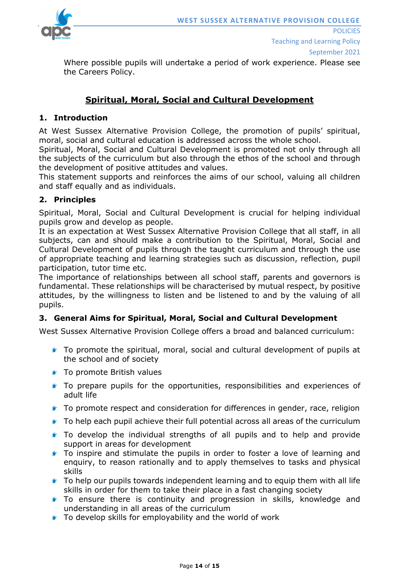

Where possible pupils will undertake a period of work experience. Please see the Careers Policy.

# **Spiritual, Moral, Social and Cultural Development**

## **1. Introduction**

At West Sussex Alternative Provision College, the promotion of pupils' spiritual, moral, social and cultural education is addressed across the whole school.

Spiritual, Moral, Social and Cultural Development is promoted not only through all the subjects of the curriculum but also through the ethos of the school and through the development of positive attitudes and values.

This statement supports and reinforces the aims of our school, valuing all children and staff equally and as individuals.

## **2. Principles**

Spiritual, Moral, Social and Cultural Development is crucial for helping individual pupils grow and develop as people.

It is an expectation at West Sussex Alternative Provision College that all staff, in all subjects, can and should make a contribution to the Spiritual, Moral, Social and Cultural Development of pupils through the taught curriculum and through the use of appropriate teaching and learning strategies such as discussion, reflection, pupil participation, tutor time etc.

The importance of relationships between all school staff, parents and governors is fundamental. These relationships will be characterised by mutual respect, by positive attitudes, by the willingness to listen and be listened to and by the valuing of all pupils.

## **3. General Aims for Spiritual, Moral, Social and Cultural Development**

West Sussex Alternative Provision College offers a broad and balanced curriculum:

- To promote the spiritual, moral, social and cultural development of pupils at the school and of society
- **To promote British values**
- **To prepare pupils for the opportunities, responsibilities and experiences of** adult life
- **To promote respect and consideration for differences in gender, race, religion**
- **To help each pupil achieve their full potential across all areas of the curriculum**
- To develop the individual strengths of all pupils and to help and provide support in areas for development
- To inspire and stimulate the pupils in order to foster a love of learning and enquiry, to reason rationally and to apply themselves to tasks and physical skills
- To help our pupils towards independent learning and to equip them with all life skills in order for them to take their place in a fast changing society
- **To ensure there is continuity and progression in skills, knowledge and** understanding in all areas of the curriculum
- **To develop skills for employability and the world of work**